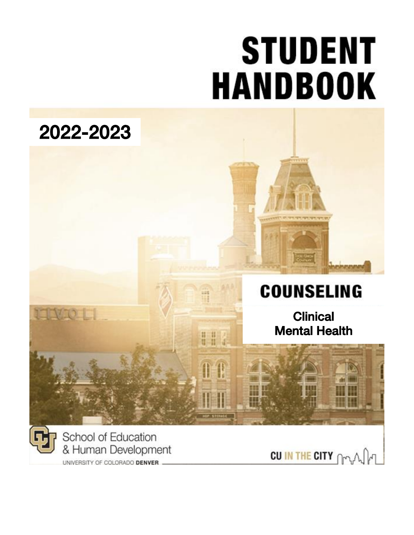# **STUDENT HANDBOOK**

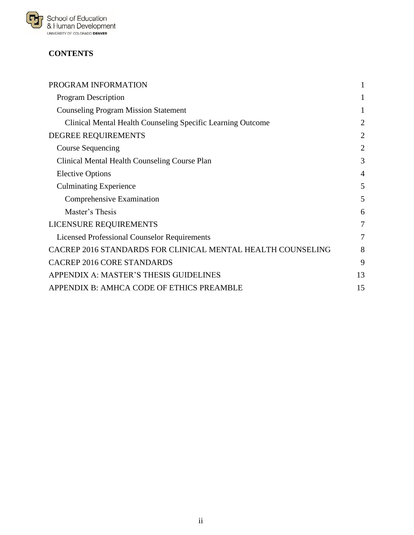

# **CONTENTS**

| PROGRAM INFORMATION                                         | 1              |
|-------------------------------------------------------------|----------------|
| <b>Program Description</b>                                  | 1              |
| <b>Counseling Program Mission Statement</b>                 | 1              |
| Clinical Mental Health Counseling Specific Learning Outcome | $\overline{2}$ |
| DEGREE REQUIREMENTS                                         | $\overline{2}$ |
| <b>Course Sequencing</b>                                    | $\overline{2}$ |
| <b>Clinical Mental Health Counseling Course Plan</b>        | 3              |
| <b>Elective Options</b>                                     | $\overline{4}$ |
| <b>Culminating Experience</b>                               | 5              |
| Comprehensive Examination                                   | 5              |
| Master's Thesis                                             | 6              |
| LICENSURE REQUIREMENTS                                      | 7              |
| <b>Licensed Professional Counselor Requirements</b>         | 7              |
| CACREP 2016 STANDARDS FOR CLINICAL MENTAL HEALTH COUNSELING | 8              |
| <b>CACREP 2016 CORE STANDARDS</b>                           | 9              |
| APPENDIX A: MASTER'S THESIS GUIDELINES                      | 13             |
| APPENDIX B: AMHCA CODE OF ETHICS PREAMBLE                   | 15             |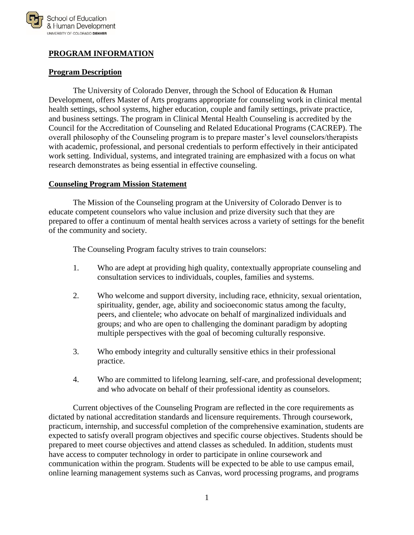

# <span id="page-2-0"></span>**PROGRAM INFORMATION**

#### <span id="page-2-1"></span>**Program Description**

The University of Colorado Denver, through the School of Education & Human Development, offers Master of Arts programs appropriate for counseling work in clinical mental health settings, school systems, higher education, couple and family settings, private practice, and business settings. The program in Clinical Mental Health Counseling is accredited by the Council for the Accreditation of Counseling and Related Educational Programs (CACREP). The overall philosophy of the Counseling program is to prepare master's level counselors/therapists with academic, professional, and personal credentials to perform effectively in their anticipated work setting. Individual, systems, and integrated training are emphasized with a focus on what research demonstrates as being essential in effective counseling.

#### <span id="page-2-2"></span>**Counseling Program Mission Statement**

The Mission of the Counseling program at the University of Colorado Denver is to educate competent counselors who value inclusion and prize diversity such that they are prepared to offer a continuum of mental health services across a variety of settings for the benefit of the community and society.

The Counseling Program faculty strives to train counselors:

- 1. Who are adept at providing high quality, contextually appropriate counseling and consultation services to individuals, couples, families and systems.
- 2. Who welcome and support diversity, including race, ethnicity, sexual orientation, spirituality, gender, age, ability and socioeconomic status among the faculty, peers, and clientele; who advocate on behalf of marginalized individuals and groups; and who are open to challenging the dominant paradigm by adopting multiple perspectives with the goal of becoming culturally responsive.
- 3. Who embody integrity and culturally sensitive ethics in their professional practice.
- 4. Who are committed to lifelong learning, self-care, and professional development; and who advocate on behalf of their professional identity as counselors.

Current objectives of the Counseling Program are reflected in the core requirements as dictated by national accreditation standards and licensure requirements. Through coursework, practicum, internship, and successful completion of the comprehensive examination, students are expected to satisfy overall program objectives and specific course objectives. Students should be prepared to meet course objectives and attend classes as scheduled. In addition, students must have access to computer technology in order to participate in online coursework and communication within the program. Students will be expected to be able to use campus email, online learning management systems such as Canvas, word processing programs, and programs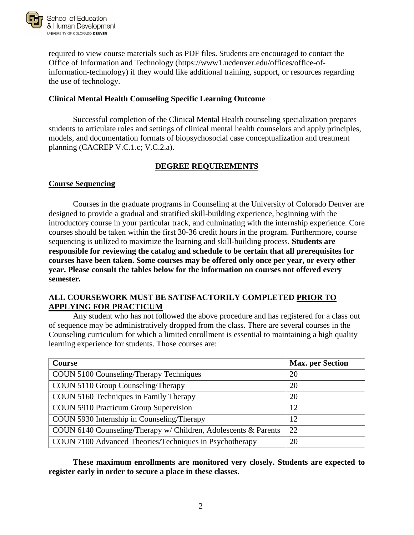

required to view course materials such as PDF files. Students are encouraged to contact the Office of Information and Technology (https://www1.ucdenver.edu/offices/office-ofinformation-technology) if they would like additional training, support, or resources regarding the use of technology.

#### <span id="page-3-0"></span>**Clinical Mental Health Counseling Specific Learning Outcome**

Successful completion of the Clinical Mental Health counseling specialization prepares students to articulate roles and settings of clinical mental health counselors and apply principles, models, and documentation formats of biopsychosocial case conceptualization and treatment planning (CACREP V.C.1.c; V.C.2.a).

## **DEGREE REQUIREMENTS**

#### <span id="page-3-2"></span><span id="page-3-1"></span>**Course Sequencing**

Courses in the graduate programs in Counseling at the University of Colorado Denver are designed to provide a gradual and stratified skill-building experience, beginning with the introductory course in your particular track, and culminating with the internship experience. Core courses should be taken within the first 30-36 credit hours in the program. Furthermore, course sequencing is utilized to maximize the learning and skill-building process. **Students are responsible for reviewing the catalog and schedule to be certain that all prerequisites for courses have been taken. Some courses may be offered only once per year, or every other year. Please consult the tables below for the information on courses not offered every semester.**

## **ALL COURSEWORK MUST BE SATISFACTORILY COMPLETED PRIOR TO APPLYING FOR PRACTICUM**

Any student who has not followed the above procedure and has registered for a class out of sequence may be administratively dropped from the class. There are several courses in the Counseling curriculum for which a limited enrollment is essential to maintaining a high quality learning experience for students. Those courses are:

| Course                                                          | <b>Max.</b> per Section |
|-----------------------------------------------------------------|-------------------------|
| COUN 5100 Counseling/Therapy Techniques                         | 20                      |
| COUN 5110 Group Counseling/Therapy                              | 20                      |
| COUN 5160 Techniques in Family Therapy                          | 20                      |
| COUN 5910 Practicum Group Supervision                           | 12                      |
| COUN 5930 Internship in Counseling/Therapy                      | 12                      |
| COUN 6140 Counseling/Therapy w/ Children, Adolescents & Parents | 22                      |
| COUN 7100 Advanced Theories/Techniques in Psychotherapy         | 20                      |

**These maximum enrollments are monitored very closely. Students are expected to register early in order to secure a place in these classes.**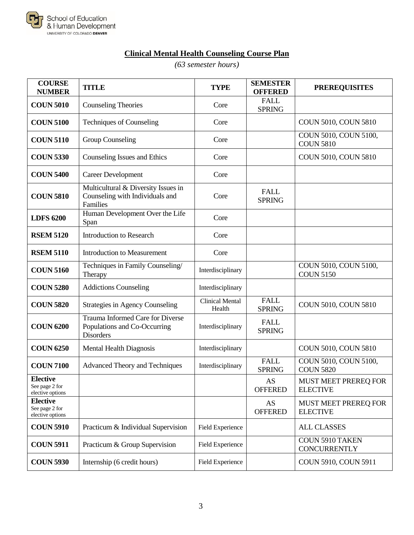

# **Clinical Mental Health Counseling Course Plan**

*(63 semester hours)*

<span id="page-4-0"></span>

| <b>COURSE</b><br><b>NUMBER</b>                        | <b>TITLE</b>                                                                         | <b>TYPE</b>                      | <b>SEMESTER</b><br><b>OFFERED</b> | <b>PREREQUISITES</b>                           |
|-------------------------------------------------------|--------------------------------------------------------------------------------------|----------------------------------|-----------------------------------|------------------------------------------------|
| <b>COUN 5010</b>                                      | <b>Counseling Theories</b>                                                           | Core                             | <b>FALL</b><br><b>SPRING</b>      |                                                |
| <b>COUN 5100</b>                                      | <b>Techniques of Counseling</b>                                                      | Core                             |                                   | COUN 5010, COUN 5810                           |
| <b>COUN 5110</b>                                      | <b>Group Counseling</b>                                                              | Core                             |                                   | COUN 5010, COUN 5100,<br><b>COUN 5810</b>      |
| <b>COUN 5330</b>                                      | Counseling Issues and Ethics                                                         | Core                             |                                   | COUN 5010, COUN 5810                           |
| <b>COUN 5400</b>                                      | <b>Career Development</b>                                                            | Core                             |                                   |                                                |
| <b>COUN 5810</b>                                      | Multicultural & Diversity Issues in<br>Counseling with Individuals and<br>Families   | Core                             | <b>FALL</b><br><b>SPRING</b>      |                                                |
| <b>LDFS 6200</b>                                      | Human Development Over the Life<br>Span                                              | Core                             |                                   |                                                |
| <b>RSEM 5120</b>                                      | <b>Introduction to Research</b>                                                      | Core                             |                                   |                                                |
| <b>RSEM 5110</b>                                      | <b>Introduction to Measurement</b>                                                   | Core                             |                                   |                                                |
| <b>COUN 5160</b>                                      | Techniques in Family Counseling/<br>Therapy                                          | Interdisciplinary                |                                   | COUN 5010, COUN 5100,<br><b>COUN 5150</b>      |
| <b>COUN 5280</b>                                      | <b>Addictions Counseling</b>                                                         | Interdisciplinary                |                                   |                                                |
| <b>COUN 5820</b>                                      | <b>Strategies in Agency Counseling</b>                                               | <b>Clinical Mental</b><br>Health | <b>FALL</b><br><b>SPRING</b>      | COUN 5010, COUN 5810                           |
| <b>COUN 6200</b>                                      | Trauma Informed Care for Diverse<br>Populations and Co-Occurring<br><b>Disorders</b> | Interdisciplinary                | <b>FALL</b><br><b>SPRING</b>      |                                                |
| <b>COUN 6250</b>                                      | <b>Mental Health Diagnosis</b>                                                       | Interdisciplinary                |                                   | COUN 5010, COUN 5810                           |
| <b>COUN 7100</b>                                      | <b>Advanced Theory and Techniques</b>                                                | Interdisciplinary                | <b>FALL</b><br><b>SPRING</b>      | COUN 5010, COUN 5100,<br><b>COUN 5820</b>      |
| <b>Elective</b><br>See page 2 for<br>elective options |                                                                                      |                                  | <b>AS</b><br><b>OFFERED</b>       | <b>MUST MEET PREREQ FOR</b><br><b>ELECTIVE</b> |
| <b>Elective</b><br>See page 2 for<br>elective options |                                                                                      |                                  | AS<br><b>OFFERED</b>              | MUST MEET PREREQ FOR<br><b>ELECTIVE</b>        |
| <b>COUN 5910</b>                                      | Practicum & Individual Supervision                                                   | Field Experience                 |                                   | <b>ALL CLASSES</b>                             |
| <b>COUN 5911</b>                                      | Practicum & Group Supervision                                                        | Field Experience                 |                                   | <b>COUN 5910 TAKEN</b><br><b>CONCURRENTLY</b>  |
| <b>COUN 5930</b>                                      | Internship (6 credit hours)                                                          | Field Experience                 |                                   | COUN 5910, COUN 5911                           |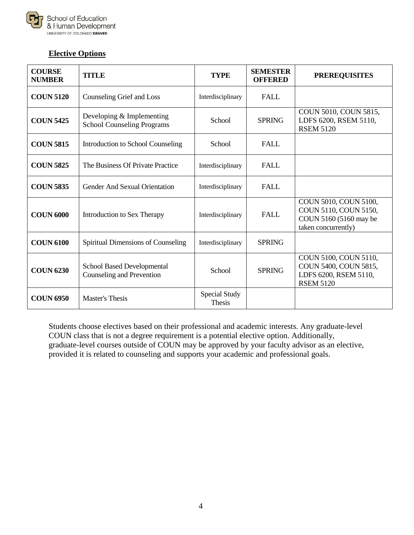

# <span id="page-5-0"></span>**Elective Options**

| <b>COURSE</b><br><b>NUMBER</b> | <b>TITLE</b>                                                   | <b>TYPE</b>                    | <b>SEMESTER</b><br><b>OFFERED</b> | <b>PREREQUISITES</b>                                                                            |
|--------------------------------|----------------------------------------------------------------|--------------------------------|-----------------------------------|-------------------------------------------------------------------------------------------------|
| <b>COUN 5120</b>               | Counseling Grief and Loss                                      | Interdisciplinary              | <b>FALL</b>                       |                                                                                                 |
| <b>COUN 5425</b>               | Developing & Implementing<br><b>School Counseling Programs</b> | School                         | <b>SPRING</b>                     | COUN 5010, COUN 5815,<br>LDFS 6200, RSEM 5110,<br><b>RSEM 5120</b>                              |
| <b>COUN 5815</b>               | Introduction to School Counseling                              | School                         | <b>FALL</b>                       |                                                                                                 |
| <b>COUN 5825</b>               | The Business Of Private Practice                               | Interdisciplinary              | <b>FALL</b>                       |                                                                                                 |
| <b>COUN 5835</b>               | <b>Gender And Sexual Orientation</b>                           | Interdisciplinary              | <b>FALL</b>                       |                                                                                                 |
| <b>COUN 6000</b>               | Introduction to Sex Therapy                                    | Interdisciplinary              | <b>FALL</b>                       | COUN 5010, COUN 5100,<br>COUN 5110, COUN 5150,<br>COUN 5160 (5160 may be<br>taken concurrently) |
| <b>COUN 6100</b>               | Spiritual Dimensions of Counseling                             | Interdisciplinary              | <b>SPRING</b>                     |                                                                                                 |
| <b>COUN 6230</b>               | <b>School Based Developmental</b><br>Counseling and Prevention | School                         | <b>SPRING</b>                     | COUN 5100, COUN 5110,<br>COUN 5400, COUN 5815,<br>LDFS 6200, RSEM 5110,<br><b>RSEM 5120</b>     |
| <b>COUN 6950</b>               | <b>Master's Thesis</b>                                         | Special Study<br><b>Thesis</b> |                                   |                                                                                                 |

Students choose electives based on their professional and academic interests. Any graduate-level COUN class that is not a degree requirement is a potential elective option. Additionally, graduate-level courses outside of COUN may be approved by your faculty advisor as an elective, provided it is related to counseling and supports your academic and professional goals.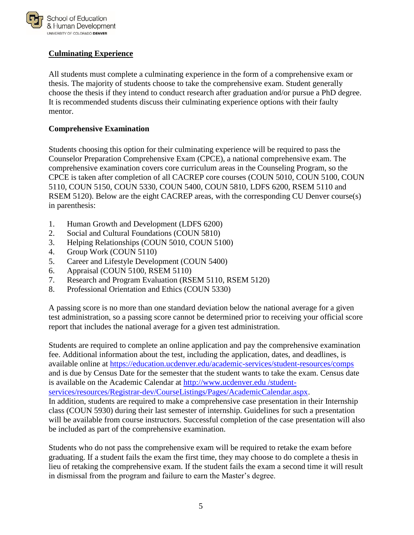

# <span id="page-6-0"></span>**Culminating Experience**

All students must complete a culminating experience in the form of a comprehensive exam or thesis. The majority of students choose to take the comprehensive exam. Student generally choose the thesis if they intend to conduct research after graduation and/or pursue a PhD degree. It is recommended students discuss their culminating experience options with their faulty mentor.

#### <span id="page-6-1"></span>**Comprehensive Examination**

Students choosing this option for their culminating experience will be required to pass the Counselor Preparation Comprehensive Exam (CPCE), a national comprehensive exam. The comprehensive examination covers core curriculum areas in the Counseling Program, so the CPCE is taken after completion of all CACREP core courses (COUN 5010, COUN 5100, COUN 5110, COUN 5150, COUN 5330, COUN 5400, COUN 5810, LDFS 6200, RSEM 5110 and RSEM 5120). Below are the eight CACREP areas, with the corresponding CU Denver course(s) in parenthesis:

- 1. Human Growth and Development (LDFS 6200)
- 2. Social and Cultural Foundations (COUN 5810)
- 3. Helping Relationships (COUN 5010, COUN 5100)
- 4. Group Work (COUN 5110)
- 5. Career and Lifestyle Development (COUN 5400)
- 6. Appraisal (COUN 5100, RSEM 5110)
- 7. Research and Program Evaluation (RSEM 5110, RSEM 5120)
- 8. Professional Orientation and Ethics (COUN 5330)

A passing score is no more than one standard deviation below the national average for a given test administration, so a passing score cannot be determined prior to receiving your official score report that includes the national average for a given test administration.

Students are required to complete an online application and pay the comprehensive examination fee. Additional information about the test, including the application, dates, and deadlines, is available online at<https://education.ucdenver.edu/academic-services/student-resources/comps> and is due by Census Date for the semester that the student wants to take the exam. Census date is available on the Academic Calendar at http://www.ucdenver.edu /studentservices/resources/Registrar-dev/CourseListings/Pages/AcademicCalendar.aspx. In addition, students are required to make a comprehensive case presentation in their Internship class (COUN 5930) during their last semester of internship. Guidelines for such a presentation will be available from course instructors. Successful completion of the case presentation will also be included as part of the comprehensive examination.

Students who do not pass the comprehensive exam will be required to retake the exam before graduating. If a student fails the exam the first time, they may choose to do complete a thesis in lieu of retaking the comprehensive exam. If the student fails the exam a second time it will result in dismissal from the program and failure to earn the Master's degree.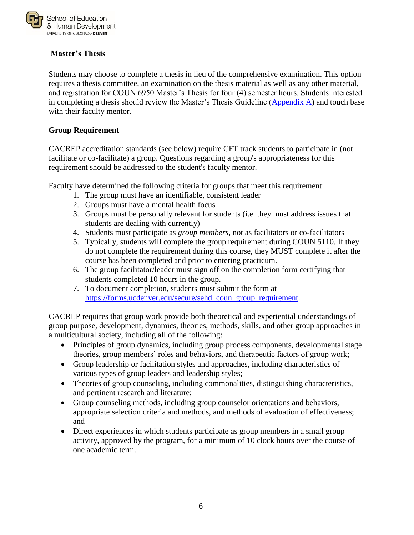

# <span id="page-7-0"></span>**Master's Thesis**

Students may choose to complete a thesis in lieu of the comprehensive examination. This option requires a thesis committee, an examination on the thesis material as well as any other material, and registration for COUN 6950 Master's Thesis for four (4) semester hours. Students interested in completing a thesis should review the Master's Thesis Guideline (Appendix  $\overrightarrow{A}$ ) and touch base with their faculty mentor.

#### **Group Requirement**

CACREP accreditation standards (see below) require CFT track students to participate in (not facilitate or co-facilitate) a group. Questions regarding a group's appropriateness for this requirement should be addressed to the student's faculty mentor.

Faculty have determined the following criteria for groups that meet this requirement:

- 1. The group must have an identifiable, consistent leader
- 2. Groups must have a mental health focus
- 3. Groups must be personally relevant for students (i.e. they must address issues that students are dealing with currently)
- 4. Students must participate as *group members*, not as facilitators or co-facilitators
- 5. Typically, students will complete the group requirement during COUN 5110. If they do not complete the requirement during this course, they MUST complete it after the course has been completed and prior to entering practicum.
- 6. The group facilitator/leader must sign off on the completion form certifying that students completed 10 hours in the group.
- 7. To document completion, students must submit the form at [https://forms.ucdenver.edu/secure/sehd\\_coun\\_group\\_requirement.](https://forms.ucdenver.edu/secure/sehd_coun_group_requirement)

CACREP requires that group work provide both theoretical and experiential understandings of group purpose*,* development, dynamics, theories, methods, skills, and other group approaches in a multicultural society, including all of the following:

- Principles of group dynamics, including group process components, developmental stage theories, group members' roles and behaviors, and therapeutic factors of group work;
- Group leadership or facilitation styles and approaches, including characteristics of various types of group leaders and leadership styles;
- Theories of group counseling, including commonalities, distinguishing characteristics, and pertinent research and literature;
- Group counseling methods, including group counselor orientations and behaviors, appropriate selection criteria and methods, and methods of evaluation of effectiveness; and
- Direct experiences in which students participate as group members in a small group activity, approved by the program, for a minimum of 10 clock hours over the course of one academic term.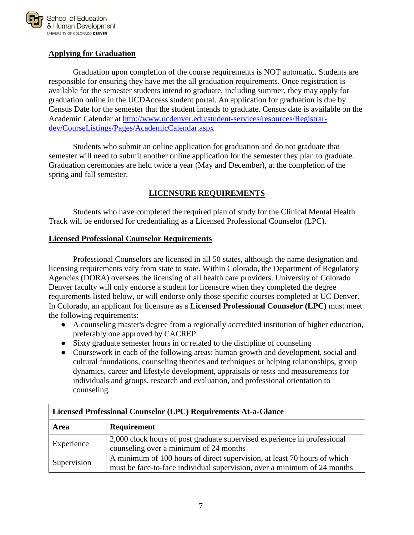

# **Applying for Graduation**

Graduation upon completion of the course requirements is NOT automatic. Students are responsible for ensuring they have met the all graduation requirements. Once registration is available for the semester students intend to graduate, including summer, they may apply for graduation online in the UCDAccess student portal. An application for graduation is due by Census Date for the semester that the student intends to graduate. Census date is available on the Academic Calendar at [http://www.ucdenver.edu/student-services/resources/Registrar](http://www.ucdenver.edu/student-services/resources/Registrar-dev/CourseListings/Pages/AcademicCalendar.aspx)[dev/CourseListings/Pages/AcademicCalendar.aspx](http://www.ucdenver.edu/student-services/resources/Registrar-dev/CourseListings/Pages/AcademicCalendar.aspx)

Students who submit an online application for graduation and do not graduate that semester will need to submit another online application for the semester they plan to graduate. Graduation ceremonies are held twice a year (May and December), at the completion of the spring and fall semester.

# **LICENSURE REQUIREMENTS**

<span id="page-8-0"></span>Students who have completed the required plan of study for the Clinical Mental Health Track will be endorsed for credentialing as a Licensed Professional Counselor (LPC).

#### <span id="page-8-1"></span>**Licensed Professional Counselor Requirements**

Professional Counselors are licensed in all 50 states, although the name designation and licensing requirements vary from state to state. Within Colorado, the Department of Regulatory Agencies (DORA) oversees the licensing of all health care providers. University of Colorado Denver faculty will only endorse a student for licensure when they completed the degree requirements listed below, or will endorse only those specific courses completed at UC Denver. In Colorado, an applicant for licensure as a **Licensed Professional Counselor (LPC)** must meet the following requirements:

- A counseling master's degree from a regionally accredited institution of higher education, preferably one approved by CACREP
- Sixty graduate semester hours in or related to the discipline of counseling
- Coursework in each of the following areas: human growth and development, social and cultural foundations, counseling theories and techniques or helping relationships, group dynamics, career and lifestyle development, appraisals or tests and measurements for individuals and groups, research and evaluation, and professional orientation to counseling.

| Licensed Professional Counselor (LPC) Requirements At-a-Glance |                                                                                                                                                      |  |
|----------------------------------------------------------------|------------------------------------------------------------------------------------------------------------------------------------------------------|--|
| Area                                                           | <b>Requirement</b>                                                                                                                                   |  |
| Experience                                                     | 2,000 clock hours of post graduate supervised experience in professional<br>counseling over a minimum of 24 months                                   |  |
| Supervision                                                    | A minimum of 100 hours of direct supervision, at least 70 hours of which<br>must be face-to-face individual supervision, over a minimum of 24 months |  |

# **Licensed Professional Counselor (LPC) Requirements At-a-Glance**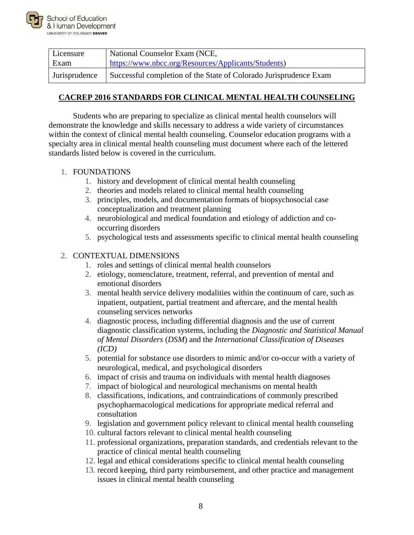

| Licensure     | National Counselor Exam (NCE,                                     |
|---------------|-------------------------------------------------------------------|
| Exam          | https://www.nbcc.org/Resources/Applicants/Students)               |
| Jurisprudence | Successful completion of the State of Colorado Jurisprudence Exam |

# <span id="page-9-0"></span>**CACREP 2016 STANDARDS FOR CLINICAL MENTAL HEALTH COUNSELING**

Students who are preparing to specialize as clinical mental health counselors will demonstrate the knowledge and skills necessary to address a wide variety of circumstances within the context of clinical mental health counseling. Counselor education programs with a specialty area in clinical mental health counseling must document where each of the lettered standards listed below is covered in the curriculum.

## 1. FOUNDATIONS

- 1. history and development of clinical mental health counseling
- 2. theories and models related to clinical mental health counseling
- 3. principles, models, and documentation formats of biopsychosocial case conceptualization and treatment planning
- 4. neurobiological and medical foundation and etiology of addiction and cooccurring disorders
- 5. psychological tests and assessments specific to clinical mental health counseling

## 2. CONTEXTUAL DIMENSIONS

- 1. roles and settings of clinical mental health counselors
- 2. etiology, nomenclature, treatment, referral, and prevention of mental and emotional disorders
- 3. mental health service delivery modalities within the continuum of care, such as inpatient, outpatient, partial treatment and aftercare, and the mental health counseling services networks
- 4. diagnostic process, including differential diagnosis and the use of current diagnostic classification systems, including the *Diagnostic and Statistical Manual of Mental Disorders* (*DSM*) and the *International Classification of Diseases (ICD)*
- 5. potential for substance use disorders to mimic and/or co-occur with a variety of neurological, medical, and psychological disorders
- 6. impact of crisis and trauma on individuals with mental health diagnoses
- 7. impact of biological and neurological mechanisms on mental health
- 8. classifications, indications, and contraindications of commonly prescribed psychopharmacological medications for appropriate medical referral and consultation
- 9. legislation and government policy relevant to clinical mental health counseling
- 10. cultural factors relevant to clinical mental health counseling
- 11. professional organizations, preparation standards, and credentials relevant to the practice of clinical mental health counseling
- 12. legal and ethical considerations specific to clinical mental health counseling
- 13. record keeping, third party reimbursement, and other practice and management issues in clinical mental health counseling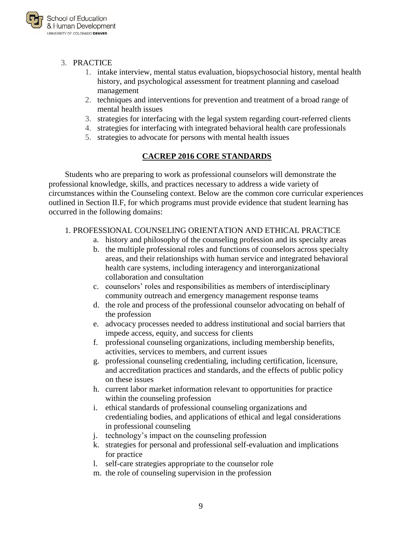

#### 3. PRACTICE

- 1. intake interview, mental status evaluation, biopsychosocial history, mental health history, and psychological assessment for treatment planning and caseload management
- 2. techniques and interventions for prevention and treatment of a broad range of mental health issues
- 3. strategies for interfacing with the legal system regarding court-referred clients
- 4. strategies for interfacing with integrated behavioral health care professionals
- 5. strategies to advocate for persons with mental health issues

## **CACREP 2016 CORE STANDARDS**

<span id="page-10-0"></span>Students who are preparing to work as professional counselors will demonstrate the professional knowledge, skills, and practices necessary to address a wide variety of circumstances within the Counseling context. Below are the common core curricular experiences outlined in Section II.F, for which programs must provide evidence that student learning has occurred in the following domains:

#### 1. PROFESSIONAL COUNSELING ORIENTATION AND ETHICAL PRACTICE

- a. history and philosophy of the counseling profession and its specialty areas
- b. the multiple professional roles and functions of counselors across specialty areas, and their relationships with human service and integrated behavioral health care systems, including interagency and interorganizational collaboration and consultation
- c. counselors' roles and responsibilities as members of interdisciplinary community outreach and emergency management response teams
- d. the role and process of the professional counselor advocating on behalf of the profession
- e. advocacy processes needed to address institutional and social barriers that impede access, equity, and success for clients
- f. professional counseling organizations, including membership benefits, activities, services to members, and current issues
- g. professional counseling credentialing, including certification, licensure, and accreditation practices and standards, and the effects of public policy on these issues
- h. current labor market information relevant to opportunities for practice within the counseling profession
- i. ethical standards of professional counseling organizations and credentialing bodies, and applications of ethical and legal considerations in professional counseling
- j. technology's impact on the counseling profession
- k. strategies for personal and professional self-evaluation and implications for practice
- l. self-care strategies appropriate to the counselor role
- m. the role of counseling supervision in the profession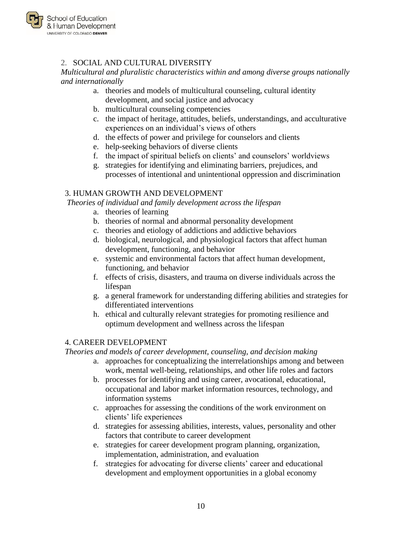

# 2. SOCIAL AND CULTURAL DIVERSITY

*Multicultural and pluralistic characteristics within and among diverse groups nationally and internationally*

- a. theories and models of multicultural counseling, cultural identity development, and social justice and advocacy
- b. multicultural counseling competencies
- c. the impact of heritage, attitudes, beliefs, understandings, and acculturative experiences on an individual's views of others
- d. the effects of power and privilege for counselors and clients
- e. help-seeking behaviors of diverse clients
- f. the impact of spiritual beliefs on clients' and counselors' worldviews
- g. strategies for identifying and eliminating barriers, prejudices, and processes of intentional and unintentional oppression and discrimination

#### 3. HUMAN GROWTH AND DEVELOPMENT

*Theories of individual and family development across the lifespan*

- a. theories of learning
- b. theories of normal and abnormal personality development
- c. theories and etiology of addictions and addictive behaviors
- d. biological, neurological, and physiological factors that affect human development, functioning, and behavior
- e. systemic and environmental factors that affect human development, functioning, and behavior
- f. effects of crisis, disasters, and trauma on diverse individuals across the lifespan
- g. a general framework for understanding differing abilities and strategies for differentiated interventions
- h. ethical and culturally relevant strategies for promoting resilience and optimum development and wellness across the lifespan

#### 4. CAREER DEVELOPMENT

*Theories and models of career development, counseling, and decision making*

- a. approaches for conceptualizing the interrelationships among and between work, mental well-being, relationships, and other life roles and factors
- b. processes for identifying and using career, avocational, educational, occupational and labor market information resources, technology, and information systems
- c. approaches for assessing the conditions of the work environment on clients' life experiences
- d. strategies for assessing abilities, interests, values, personality and other factors that contribute to career development
- e. strategies for career development program planning, organization, implementation, administration, and evaluation
- f. strategies for advocating for diverse clients' career and educational development and employment opportunities in a global economy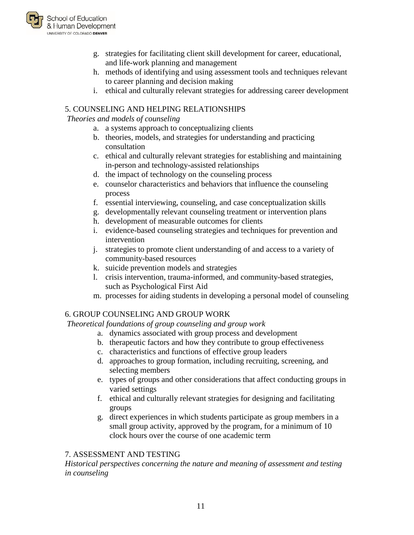

- g. strategies for facilitating client skill development for career, educational, and life-work planning and management
- h. methods of identifying and using assessment tools and techniques relevant to career planning and decision making
- i. ethical and culturally relevant strategies for addressing career development

# 5. COUNSELING AND HELPING RELATIONSHIPS

#### *Theories and models of counseling*

- a. a systems approach to conceptualizing clients
- b. theories, models, and strategies for understanding and practicing consultation
- c. ethical and culturally relevant strategies for establishing and maintaining in-person and technology-assisted relationships
- d. the impact of technology on the counseling process
- e. counselor characteristics and behaviors that influence the counseling process
- f. essential interviewing, counseling, and case conceptualization skills
- g. developmentally relevant counseling treatment or intervention plans
- h. development of measurable outcomes for clients
- i. evidence-based counseling strategies and techniques for prevention and intervention
- j. strategies to promote client understanding of and access to a variety of community-based resources
- k. suicide prevention models and strategies
- l. crisis intervention, trauma-informed, and community-based strategies, such as Psychological First Aid
- m. processes for aiding students in developing a personal model of counseling

## 6. GROUP COUNSELING AND GROUP WORK

*Theoretical foundations of group counseling and group work*

- a. dynamics associated with group process and development
- b. therapeutic factors and how they contribute to group effectiveness
- c. characteristics and functions of effective group leaders
- d. approaches to group formation, including recruiting, screening, and selecting members
- e. types of groups and other considerations that affect conducting groups in varied settings
- f. ethical and culturally relevant strategies for designing and facilitating groups
- g. direct experiences in which students participate as group members in a small group activity, approved by the program, for a minimum of 10 clock hours over the course of one academic term

## 7. ASSESSMENT AND TESTING

*Historical perspectives concerning the nature and meaning of assessment and testing in counseling*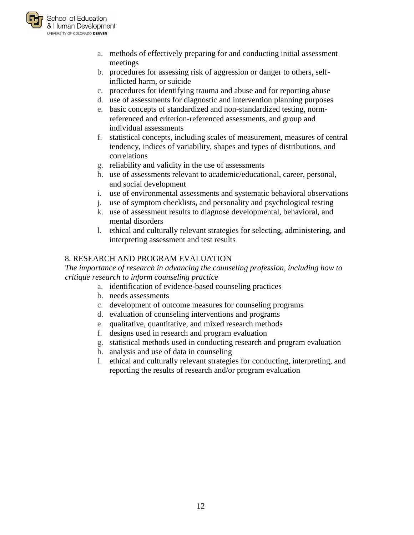

- a. methods of effectively preparing for and conducting initial assessment meetings
- b. procedures for assessing risk of aggression or danger to others, selfinflicted harm, or suicide
- c. procedures for identifying trauma and abuse and for reporting abuse
- d. use of assessments for diagnostic and intervention planning purposes
- e. basic concepts of standardized and non-standardized testing, normreferenced and criterion-referenced assessments, and group and individual assessments
- f. statistical concepts, including scales of measurement, measures of central tendency, indices of variability, shapes and types of distributions, and correlations
- g. reliability and validity in the use of assessments
- h. use of assessments relevant to academic/educational, career, personal, and social development
- i. use of environmental assessments and systematic behavioral observations
- j. use of symptom checklists, and personality and psychological testing
- k. use of assessment results to diagnose developmental, behavioral, and mental disorders
- l. ethical and culturally relevant strategies for selecting, administering, and interpreting assessment and test results

# 8. RESEARCH AND PROGRAM EVALUATION

*The importance of research in advancing the counseling profession, including how to critique research to inform counseling practice*

- a. identification of evidence-based counseling practices
- b. needs assessments
- c. development of outcome measures for counseling programs
- d. evaluation of counseling interventions and programs
- e. qualitative, quantitative, and mixed research methods
- f. designs used in research and program evaluation
- g. statistical methods used in conducting research and program evaluation
- h. analysis and use of data in counseling
- I. ethical and culturally relevant strategies for conducting, interpreting, and reporting the results of research and/or program evaluation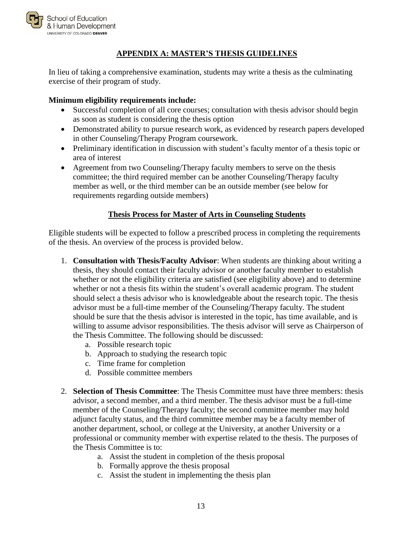

## **APPENDIX A: MASTER'S THESIS GUIDELINES**

<span id="page-14-0"></span>In lieu of taking a comprehensive examination, students may write a thesis as the culminating exercise of their program of study.

# **Minimum eligibility requirements include:**

- Successful completion of all core courses; consultation with thesis advisor should begin as soon as student is considering the thesis option
- Demonstrated ability to pursue research work, as evidenced by research papers developed in other Counseling/Therapy Program coursework.
- Preliminary identification in discussion with student's faculty mentor of a thesis topic or area of interest
- Agreement from two Counseling/Therapy faculty members to serve on the thesis committee; the third required member can be another Counseling/Therapy faculty member as well, or the third member can be an outside member (see below for requirements regarding outside members)

# **Thesis Process for Master of Arts in Counseling Students**

Eligible students will be expected to follow a prescribed process in completing the requirements of the thesis. An overview of the process is provided below.

- 1. **Consultation with Thesis/Faculty Advisor**: When students are thinking about writing a thesis, they should contact their faculty advisor or another faculty member to establish whether or not the eligibility criteria are satisfied (see eligibility above) and to determine whether or not a thesis fits within the student's overall academic program. The student should select a thesis advisor who is knowledgeable about the research topic. The thesis advisor must be a full-time member of the Counseling/Therapy faculty. The student should be sure that the thesis advisor is interested in the topic, has time available, and is willing to assume advisor responsibilities. The thesis advisor will serve as Chairperson of the Thesis Committee. The following should be discussed:
	- a. Possible research topic
	- b. Approach to studying the research topic
	- c. Time frame for completion
	- d. Possible committee members
- 2. **Selection of Thesis Committee**: The Thesis Committee must have three members: thesis advisor, a second member, and a third member. The thesis advisor must be a full-time member of the Counseling/Therapy faculty; the second committee member may hold adjunct faculty status, and the third committee member may be a faculty member of another department, school, or college at the University, at another University or a professional or community member with expertise related to the thesis. The purposes of the Thesis Committee is to:
	- a. Assist the student in completion of the thesis proposal
	- b. Formally approve the thesis proposal
	- c. Assist the student in implementing the thesis plan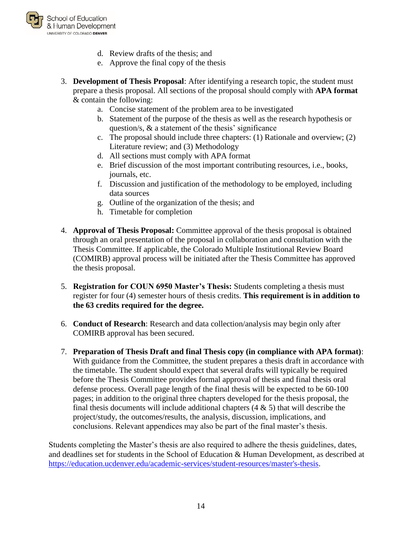

- d. Review drafts of the thesis; and
- e. Approve the final copy of the thesis
- 3. **Development of Thesis Proposal**: After identifying a research topic, the student must prepare a thesis proposal. All sections of the proposal should comply with **APA format** & contain the following:
	- a. Concise statement of the problem area to be investigated
	- b. Statement of the purpose of the thesis as well as the research hypothesis or question/s,  $\&$  a statement of the thesis' significance
	- c. The proposal should include three chapters: (1) Rationale and overview; (2) Literature review; and (3) Methodology
	- d. All sections must comply with APA format
	- e. Brief discussion of the most important contributing resources, i.e., books, journals, etc.
	- f. Discussion and justification of the methodology to be employed, including data sources
	- g. Outline of the organization of the thesis; and
	- h. Timetable for completion
- 4. **Approval of Thesis Proposal:** Committee approval of the thesis proposal is obtained through an oral presentation of the proposal in collaboration and consultation with the Thesis Committee. If applicable, the Colorado Multiple Institutional Review Board (COMIRB) approval process will be initiated after the Thesis Committee has approved the thesis proposal.
- 5. **Registration for COUN 6950 Master's Thesis:** Students completing a thesis must register for four (4) semester hours of thesis credits. **This requirement is in addition to the 63 credits required for the degree.**
- 6. **Conduct of Research**: Research and data collection/analysis may begin only after COMIRB approval has been secured.
- 7. **Preparation of Thesis Draft and final Thesis copy (in compliance with APA format)**: With guidance from the Committee, the student prepares a thesis draft in accordance with the timetable. The student should expect that several drafts will typically be required before the Thesis Committee provides formal approval of thesis and final thesis oral defense process. Overall page length of the final thesis will be expected to be 60-100 pages; in addition to the original three chapters developed for the thesis proposal, the final thesis documents will include additional chapters  $(4 \& 5)$  that will describe the project/study, the outcomes/results, the analysis, discussion, implications, and conclusions. Relevant appendices may also be part of the final master's thesis.

Students completing the Master's thesis are also required to adhere the thesis guidelines, dates, and deadlines set for students in the School of Education & Human Development, as described at [https://education.ucdenver.edu/academic-services/student-resources/master's-thesis.](https://education.ucdenver.edu/academic-services/student-resources/master)